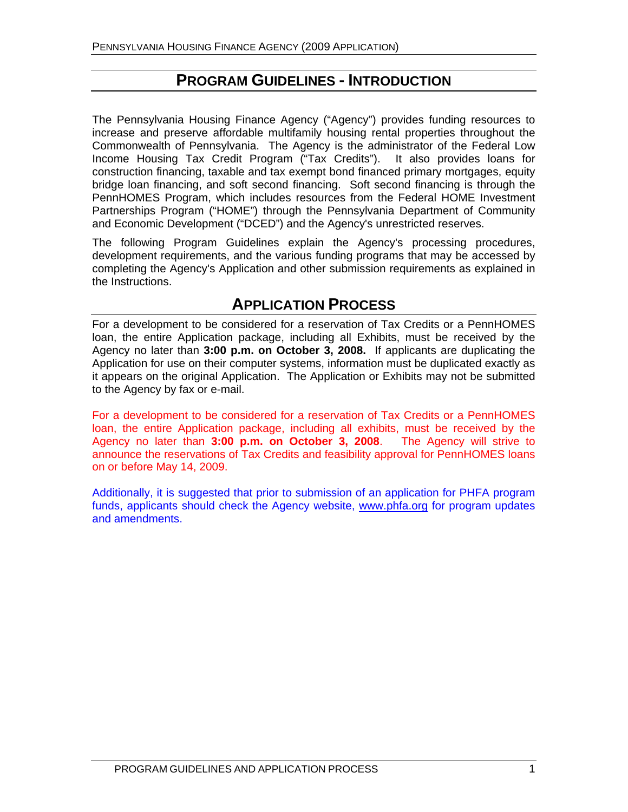## **PROGRAM GUIDELINES - INTRODUCTION**

The Pennsylvania Housing Finance Agency ("Agency") provides funding resources to increase and preserve affordable multifamily housing rental properties throughout the Commonwealth of Pennsylvania. The Agency is the administrator of the Federal Low Income Housing Tax Credit Program ("Tax Credits"). It also provides loans for construction financing, taxable and tax exempt bond financed primary mortgages, equity bridge loan financing, and soft second financing. Soft second financing is through the PennHOMES Program, which includes resources from the Federal HOME Investment Partnerships Program ("HOME") through the Pennsylvania Department of Community and Economic Development ("DCED") and the Agency's unrestricted reserves.

The following Program Guidelines explain the Agency's processing procedures, development requirements, and the various funding programs that may be accessed by completing the Agency's Application and other submission requirements as explained in the Instructions.

## **APPLICATION PROCESS**

For a development to be considered for a reservation of Tax Credits or a PennHOMES loan, the entire Application package, including all Exhibits, must be received by the Agency no later than **3:00 p.m. on October 3, 2008.** If applicants are duplicating the Application for use on their computer systems, information must be duplicated exactly as it appears on the original Application. The Application or Exhibits may not be submitted to the Agency by fax or e-mail.

For a development to be considered for a reservation of Tax Credits or a PennHOMES loan, the entire Application package, including all exhibits, must be received by the Agency no later than **3:00 p.m. on October 3, 2008**.The Agency will strive to announce the reservations of Tax Credits and feasibility approval for PennHOMES loans on or before May 14, 2009.

Additionally, it is suggested that prior to submission of an application for PHFA program funds, applicants should check the Agency website, [www.phfa.org](http://www.phfa.org/) for program updates and amendments.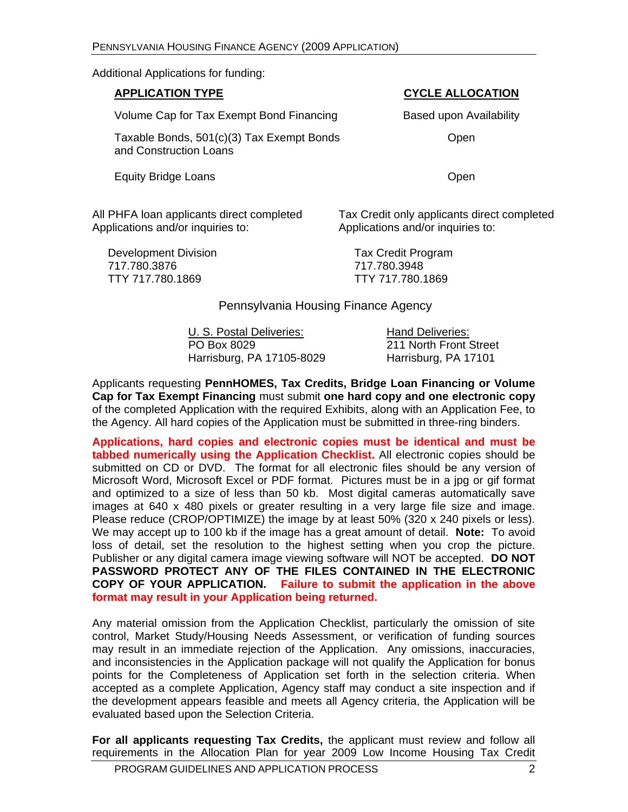Additional Applications for funding:

| <b>APPLICATION TYPE</b>                                             | <b>CYCLE ALLOCATION</b> |
|---------------------------------------------------------------------|-------------------------|
| Volume Cap for Tax Exempt Bond Financing                            | Based upon Availability |
| Taxable Bonds, 501(c)(3) Tax Exempt Bonds<br>and Construction Loans | Open                    |
| <b>Equity Bridge Loans</b>                                          | Open                    |

All PHFA loan applicants direct completed Applications and/or inquiries to:

Tax Credit only applicants direct completed Applications and/or inquiries to:

Development Division **Tax Credit Program**  717.780.3876 717.780.3948 TTY 717.780.1869 TTY 717.780.1869

Pennsylvania Housing Finance Agency

U. S. Postal Deliveries: Hand Deliveries: PO Box 8029 211 North Front Street Harrisburg, PA 17105-8029 Harrisburg, PA 17101

Applicants requesting **PennHOMES, Tax Credits, Bridge Loan Financing or Volume Cap for Tax Exempt Financing** must submit **one hard copy and one electronic copy** of the completed Application with the required Exhibits, along with an Application Fee, to the Agency. All hard copies of the Application must be submitted in three-ring binders.

**Applications, hard copies and electronic copies must be identical and must be tabbed numerically using the Application Checklist.** All electronic copies should be submitted on CD or DVD. The format for all electronic files should be any version of Microsoft Word, Microsoft Excel or PDF format. Pictures must be in a jpg or gif format and optimized to a size of less than 50 kb. Most digital cameras automatically save images at 640 x 480 pixels or greater resulting in a very large file size and image. Please reduce (CROP/OPTIMIZE) the image by at least 50% (320 x 240 pixels or less). We may accept up to 100 kb if the image has a great amount of detail. **Note:** To avoid loss of detail, set the resolution to the highest setting when you crop the picture. Publisher or any digital camera image viewing software will NOT be accepted. **DO NOT PASSWORD PROTECT ANY OF THE FILES CONTAINED IN THE ELECTRONIC COPY OF YOUR APPLICATION. Failure to submit the application in the above format may result in your Application being returned.** 

Any material omission from the Application Checklist, particularly the omission of site control, Market Study/Housing Needs Assessment, or verification of funding sources may result in an immediate rejection of the Application. Any omissions, inaccuracies, and inconsistencies in the Application package will not qualify the Application for bonus points for the Completeness of Application set forth in the selection criteria. When accepted as a complete Application, Agency staff may conduct a site inspection and if the development appears feasible and meets all Agency criteria, the Application will be evaluated based upon the Selection Criteria.

**For all applicants requesting Tax Credits,** the applicant must review and follow all requirements in the Allocation Plan for year 2009 Low Income Housing Tax Credit